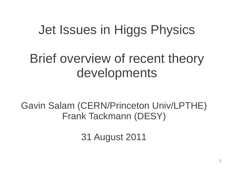#### Jet Issues in Higgs Physics

#### Brief overview of recent theory developments

Gavin Salam (CERN/Princeton Univ/LPTHE) Frank Tackmann (DESY)

31 August 2011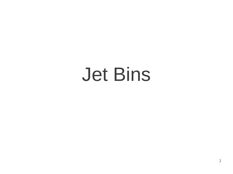# Jet Bins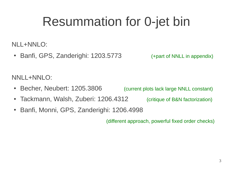## Resummation for 0-jet bin

NLL+NNLO:

• Banfi, GPS, Zanderighi: 1203.5773 (+part of NNLL in appendix)

NNLL+NNLO:

- Becher, Neubert: 1205.3806 (current plots lack large NNLL constant)
- Tackmann, Walsh, Zuberi: 1206.4312 (critique of B&N factorization)
- Banfi, Monni, GPS, Zanderighi: 1206.4998

(different approach, powerful fixed order checks)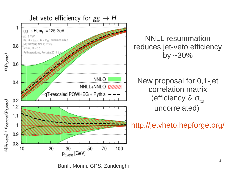

Banfi, Monni, GPS, Zanderighi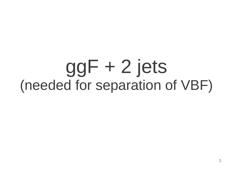## ggF + 2 jets (needed for separation of VBF)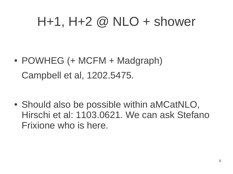#### $H+1$ ,  $H+2$  @ NLO + shower

 $\cdot$  POWHEG (+ MCFM + Madgraph) Campbell et al, 1202.5475.

• Should also be possible within aMCatNLO, Hirschi et al: 1103.0621. We can ask Stefano Frixione who is here.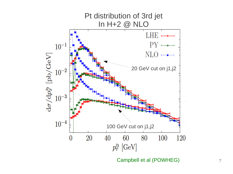

Campbell et al (POWHEG)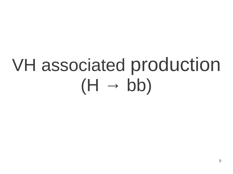# VH associated production  $(H \rightarrow bb)$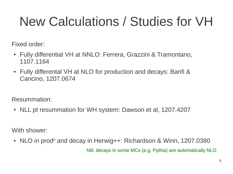## New Calculations / Studies for VH

Fixed order:

- Fully differential VH at NNLO: Ferrera, Grazzini & Tramontano, 1107.1164
- Fully differental VH at NLO for production and decays: Banfi & Cancino, 1207.0674

Resummation:

• NLL pt resummation for WH system: Dawson et al, 1207.4207

With shower:

• NLO in prod<sup>n</sup> and decay in Herwig++: Richardson & Winn, 1207.0380

NB: decays in some MCs (e.g. Pythia) are automatically NLO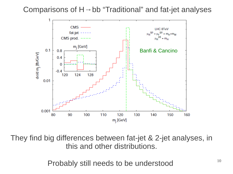Comparisons of  $H \rightarrow bb$  "Traditional" and fat-jet analyses



They find big differences between fat-jet & 2-jet analyses, in this and other distributions.

Probably still needs to be understood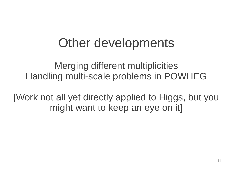#### Other developments

Merging different multiplicities Handling multi-scale problems in POWHEG

[Work not all yet directly applied to Higgs, but you might want to keep an eye on it]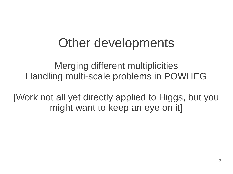#### Other developments

Merging different multiplicities Handling multi-scale problems in POWHEG

[Work not all yet directly applied to Higgs, but you might want to keep an eye on it]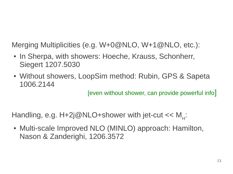Merging Multiplicities (e.g. W+0@NLO, W+1@NLO, etc.):

- In Sherpa, with showers: Hoeche, Krauss, Schonherr, Siegert 1207.5030
- Without showers, LoopSim method: Rubin, GPS & Sapeta 1006.2144

[even without shower, can provide powerful info]

Handling, e.g.  $H+2j@NLO+shower$  with jet-cut << M<sub>H</sub>:

• Multi-scale Improved NLO (MINLO) approach: Hamilton, Nason & Zanderighi, 1206.3572